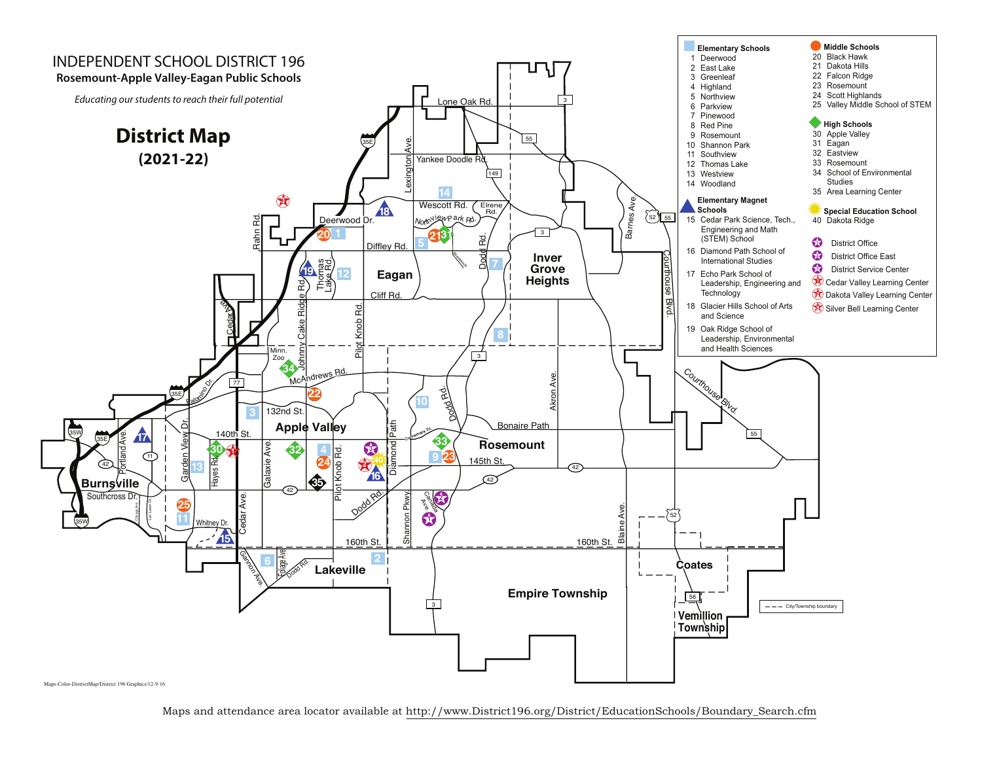

Maps and attendance area locator available at http://www.District196.org/District/EducationSchools/Boundary\_Search.cfm